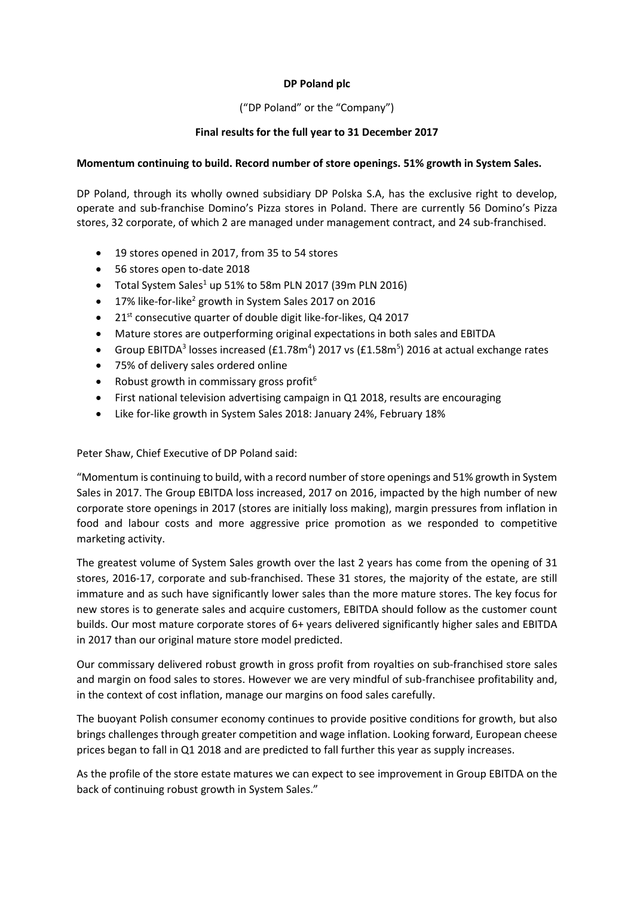### **DP Poland plc**

### ("DP Poland" or the "Company")

#### **Final results for the full year to 31 December 2017**

#### **Momentum continuing to build. Record number of store openings. 51% growth in System Sales.**

DP Poland, through its wholly owned subsidiary DP Polska S.A, has the exclusive right to develop, operate and sub-franchise Domino's Pizza stores in Poland. There are currently 56 Domino's Pizza stores, 32 corporate, of which 2 are managed under management contract, and 24 sub-franchised.

- 19 stores opened in 2017, from 35 to 54 stores
- 56 stores open to-date 2018
- Total System Sales<sup>1</sup> up 51% to 58m PLN 2017 (39m PLN 2016)
- 17% like-for-like<sup>2</sup> growth in System Sales 2017 on 2016
- $\bullet$  21st consecutive quarter of double digit like-for-likes, Q4 2017
- Mature stores are outperforming original expectations in both sales and EBITDA
- Group EBITDA<sup>3</sup> losses increased (£1.78m<sup>4</sup>) 2017 vs (£1.58m<sup>5</sup>) 2016 at actual exchange rates
- 75% of delivery sales ordered online
- Robust growth in commissary gross profit $6$
- First national television advertising campaign in Q1 2018, results are encouraging
- Like for-like growth in System Sales 2018: January 24%, February 18%

Peter Shaw, Chief Executive of DP Poland said:

"Momentum is continuing to build, with a record number of store openings and 51% growth in System Sales in 2017. The Group EBITDA loss increased, 2017 on 2016, impacted by the high number of new corporate store openings in 2017 (stores are initially loss making), margin pressures from inflation in food and labour costs and more aggressive price promotion as we responded to competitive marketing activity.

The greatest volume of System Sales growth over the last 2 years has come from the opening of 31 stores, 2016-17, corporate and sub-franchised. These 31 stores, the majority of the estate, are still immature and as such have significantly lower sales than the more mature stores. The key focus for new stores is to generate sales and acquire customers, EBITDA should follow as the customer count builds. Our most mature corporate stores of 6+ years delivered significantly higher sales and EBITDA in 2017 than our original mature store model predicted.

Our commissary delivered robust growth in gross profit from royalties on sub-franchised store sales and margin on food sales to stores. However we are very mindful of sub-franchisee profitability and, in the context of cost inflation, manage our margins on food sales carefully.

The buoyant Polish consumer economy continues to provide positive conditions for growth, but also brings challenges through greater competition and wage inflation. Looking forward, European cheese prices began to fall in Q1 2018 and are predicted to fall further this year as supply increases.

As the profile of the store estate matures we can expect to see improvement in Group EBITDA on the back of continuing robust growth in System Sales."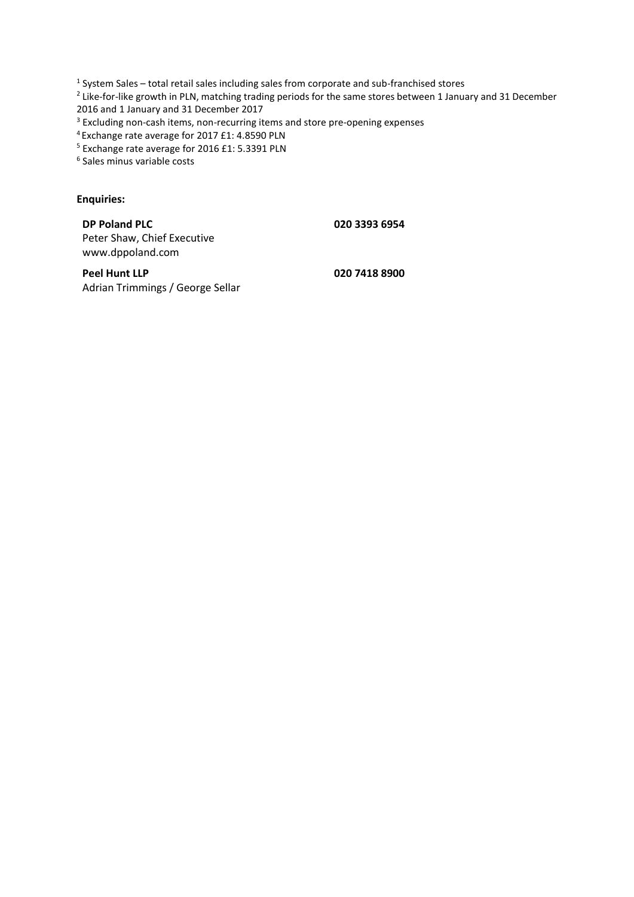<sup>1</sup> System Sales – total retail sales including sales from corporate and sub-franchised stores

<sup>2</sup> Like-for-like growth in PLN, matching trading periods for the same stores between 1 January and 31 December 2016 and 1 January and 31 December 2017

<sup>3</sup> Excluding non-cash items, non-recurring items and store pre-opening expenses

<sup>4</sup>Exchange rate average for 2017 £1: 4.8590 PLN

<sup>5</sup> Exchange rate average for 2016 £1: 5.3391 PLN

6 Sales minus variable costs

## **Enquiries:**

**DP Poland PLC** Peter Shaw, Chief Executive www.dppoland.com

**020 3393 6954**

**Peel Hunt LLP** Adrian Trimmings / George Sellar **020 7418 8900**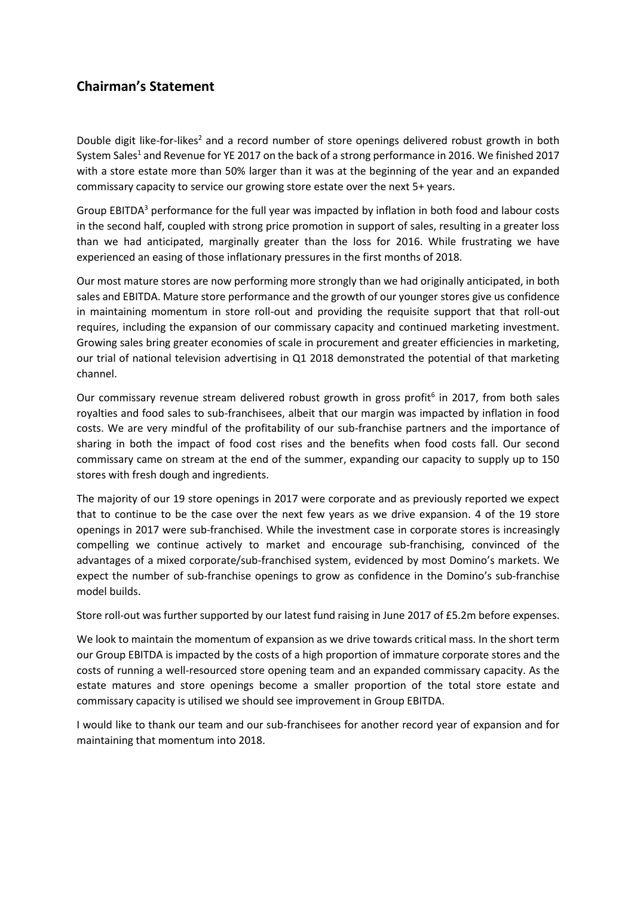## **Chairman's Statement**

Double digit like-for-likes<sup>2</sup> and a record number of store openings delivered robust growth in both System Sales<sup>1</sup> and Revenue for YE 2017 on the back of a strong performance in 2016. We finished 2017 with a store estate more than 50% larger than it was at the beginning of the year and an expanded commissary capacity to service our growing store estate over the next 5+ years.

Group EBITDA<sup>3</sup> performance for the full year was impacted by inflation in both food and labour costs in the second half, coupled with strong price promotion in support of sales, resulting in a greater loss than we had anticipated, marginally greater than the loss for 2016. While frustrating we have experienced an easing of those inflationary pressures in the first months of 2018.

Our most mature stores are now performing more strongly than we had originally anticipated, in both sales and EBITDA. Mature store performance and the growth of our younger stores give us confidence in maintaining momentum in store roll-out and providing the requisite support that that roll-out requires, including the expansion of our commissary capacity and continued marketing investment. Growing sales bring greater economies of scale in procurement and greater efficiencies in marketing, our trial of national television advertising in Q1 2018 demonstrated the potential of that marketing channel.

Our commissary revenue stream delivered robust growth in gross profit<sup>6</sup> in 2017, from both sales royalties and food sales to sub-franchisees, albeit that our margin was impacted by inflation in food costs. We are very mindful of the profitability of our sub-franchise partners and the importance of sharing in both the impact of food cost rises and the benefits when food costs fall. Our second commissary came on stream at the end of the summer, expanding our capacity to supply up to 150 stores with fresh dough and ingredients.

The majority of our 19 store openings in 2017 were corporate and as previously reported we expect that to continue to be the case over the next few years as we drive expansion. 4 of the 19 store openings in 2017 were sub-franchised. While the investment case in corporate stores is increasingly compelling we continue actively to market and encourage sub-franchising, convinced of the advantages of a mixed corporate/sub-franchised system, evidenced by most Domino's markets. We expect the number of sub-franchise openings to grow as confidence in the Domino's sub-franchise model builds.

Store roll-out was further supported by our latest fund raising in June 2017 of £5.2m before expenses.

We look to maintain the momentum of expansion as we drive towards critical mass. In the short term our Group EBITDA is impacted by the costs of a high proportion of immature corporate stores and the costs of running a well-resourced store opening team and an expanded commissary capacity. As the estate matures and store openings become a smaller proportion of the total store estate and commissary capacity is utilised we should see improvement in Group EBITDA.

I would like to thank our team and our sub-franchisees for another record year of expansion and for maintaining that momentum into 2018.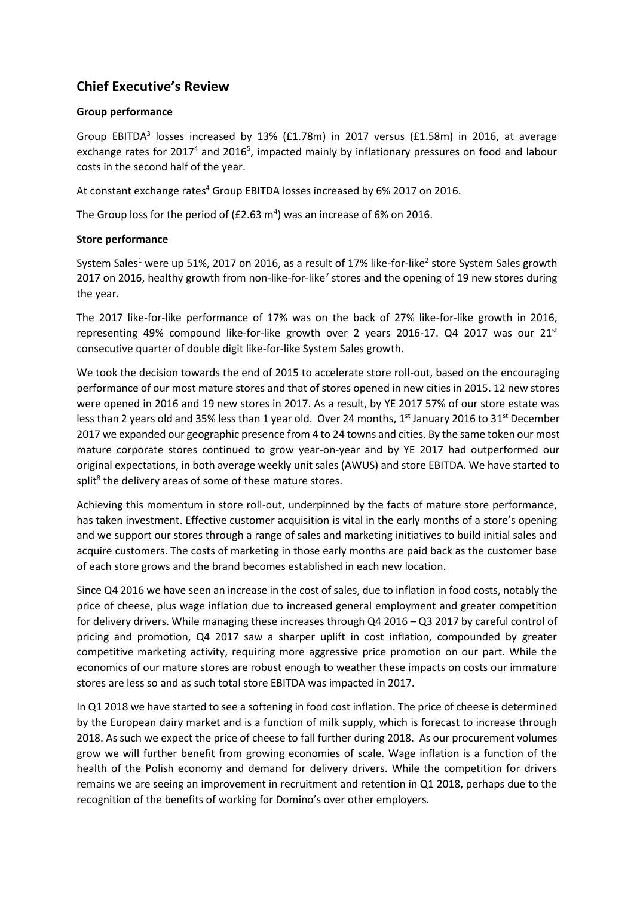## **Chief Executive's Review**

### **Group performance**

Group EBITDA<sup>3</sup> losses increased by 13% (£1.78m) in 2017 versus (£1.58m) in 2016, at average exchange rates for 2017<sup>4</sup> and 2016<sup>5</sup>, impacted mainly by inflationary pressures on food and labour costs in the second half of the year.

At constant exchange rates<sup>4</sup> Group EBITDA losses increased by 6% 2017 on 2016.

The Group loss for the period of (£2.63  $m<sup>4</sup>$ ) was an increase of 6% on 2016.

#### **Store performance**

System Sales<sup>1</sup> were up 51%, 2017 on 2016, as a result of 17% like-for-like<sup>2</sup> store System Sales growth 2017 on 2016, healthy growth from non-like-for-like<sup>7</sup> stores and the opening of 19 new stores during the year.

The 2017 like-for-like performance of 17% was on the back of 27% like-for-like growth in 2016, representing 49% compound like-for-like growth over 2 years 2016-17. Q4 2017 was our  $21^{st}$ consecutive quarter of double digit like-for-like System Sales growth.

We took the decision towards the end of 2015 to accelerate store roll-out, based on the encouraging performance of our most mature stores and that of stores opened in new cities in 2015. 12 new stores were opened in 2016 and 19 new stores in 2017. As a result, by YE 2017 57% of our store estate was less than 2 years old and 35% less than 1 year old. Over 24 months, 1<sup>st</sup> January 2016 to 31<sup>st</sup> December 2017 we expanded our geographic presence from 4 to 24 towns and cities. By the same token our most mature corporate stores continued to grow year-on-year and by YE 2017 had outperformed our original expectations, in both average weekly unit sales (AWUS) and store EBITDA. We have started to split<sup>8</sup> the delivery areas of some of these mature stores.

Achieving this momentum in store roll-out, underpinned by the facts of mature store performance, has taken investment. Effective customer acquisition is vital in the early months of a store's opening and we support our stores through a range of sales and marketing initiatives to build initial sales and acquire customers. The costs of marketing in those early months are paid back as the customer base of each store grows and the brand becomes established in each new location.

Since Q4 2016 we have seen an increase in the cost of sales, due to inflation in food costs, notably the price of cheese, plus wage inflation due to increased general employment and greater competition for delivery drivers. While managing these increases through Q4 2016 – Q3 2017 by careful control of pricing and promotion, Q4 2017 saw a sharper uplift in cost inflation, compounded by greater competitive marketing activity, requiring more aggressive price promotion on our part. While the economics of our mature stores are robust enough to weather these impacts on costs our immature stores are less so and as such total store EBITDA was impacted in 2017.

In Q1 2018 we have started to see a softening in food cost inflation. The price of cheese is determined by the European dairy market and is a function of milk supply, which is forecast to increase through 2018. As such we expect the price of cheese to fall further during 2018. As our procurement volumes grow we will further benefit from growing economies of scale. Wage inflation is a function of the health of the Polish economy and demand for delivery drivers. While the competition for drivers remains we are seeing an improvement in recruitment and retention in Q1 2018, perhaps due to the recognition of the benefits of working for Domino's over other employers.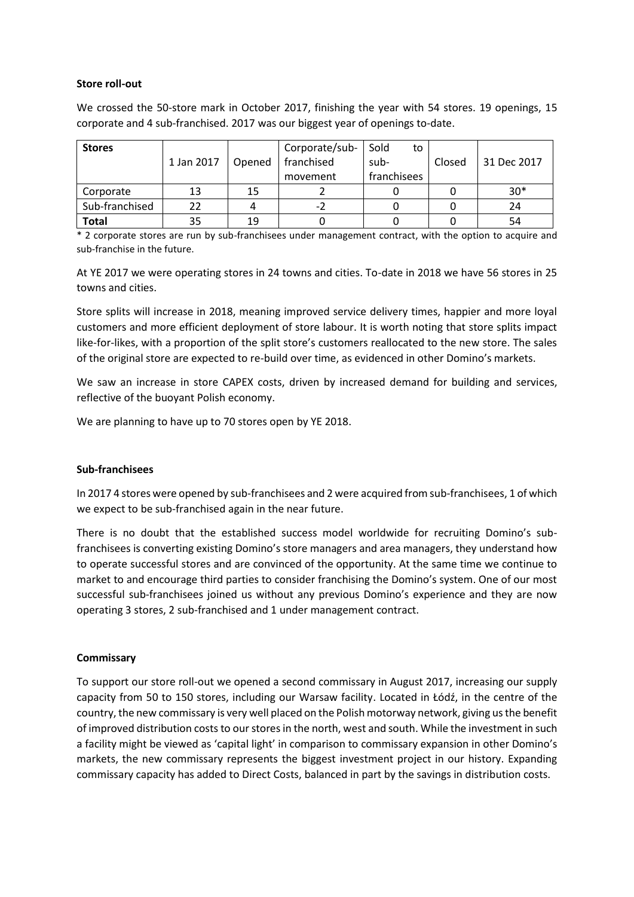#### **Store roll-out**

We crossed the 50-store mark in October 2017, finishing the year with 54 stores. 19 openings, 15 corporate and 4 sub-franchised. 2017 was our biggest year of openings to-date.

| <b>Stores</b>  |            |        | Corporate/sub- | Sold<br>to  |        |             |
|----------------|------------|--------|----------------|-------------|--------|-------------|
|                | 1 Jan 2017 | Opened | franchised     | sub-        | Closed | 31 Dec 2017 |
|                |            |        | movement       | franchisees |        |             |
| Corporate      | 13         | 15     |                |             |        | $30*$       |
| Sub-franchised | フフ         |        | -2             |             |        | 24          |
| Total          | 35         | 19     |                |             |        | 54          |

\* 2 corporate stores are run by sub-franchisees under management contract, with the option to acquire and sub-franchise in the future.

At YE 2017 we were operating stores in 24 towns and cities. To-date in 2018 we have 56 stores in 25 towns and cities.

Store splits will increase in 2018, meaning improved service delivery times, happier and more loyal customers and more efficient deployment of store labour. It is worth noting that store splits impact like-for-likes, with a proportion of the split store's customers reallocated to the new store. The sales of the original store are expected to re-build over time, as evidenced in other Domino's markets.

We saw an increase in store CAPEX costs, driven by increased demand for building and services, reflective of the buoyant Polish economy.

We are planning to have up to 70 stores open by YE 2018.

#### **Sub-franchisees**

In 2017 4 stores were opened by sub-franchisees and 2 were acquired from sub-franchisees, 1 of which we expect to be sub-franchised again in the near future.

There is no doubt that the established success model worldwide for recruiting Domino's subfranchisees is converting existing Domino's store managers and area managers, they understand how to operate successful stores and are convinced of the opportunity. At the same time we continue to market to and encourage third parties to consider franchising the Domino's system. One of our most successful sub-franchisees joined us without any previous Domino's experience and they are now operating 3 stores, 2 sub-franchised and 1 under management contract.

#### **Commissary**

To support our store roll-out we opened a second commissary in August 2017, increasing our supply capacity from 50 to 150 stores, including our Warsaw facility. Located in Łódź, in the centre of the country, the new commissary is very well placed on the Polish motorway network, giving us the benefit of improved distribution costs to our stores in the north, west and south. While the investment in such a facility might be viewed as 'capital light' in comparison to commissary expansion in other Domino's markets, the new commissary represents the biggest investment project in our history. Expanding commissary capacity has added to Direct Costs, balanced in part by the savings in distribution costs.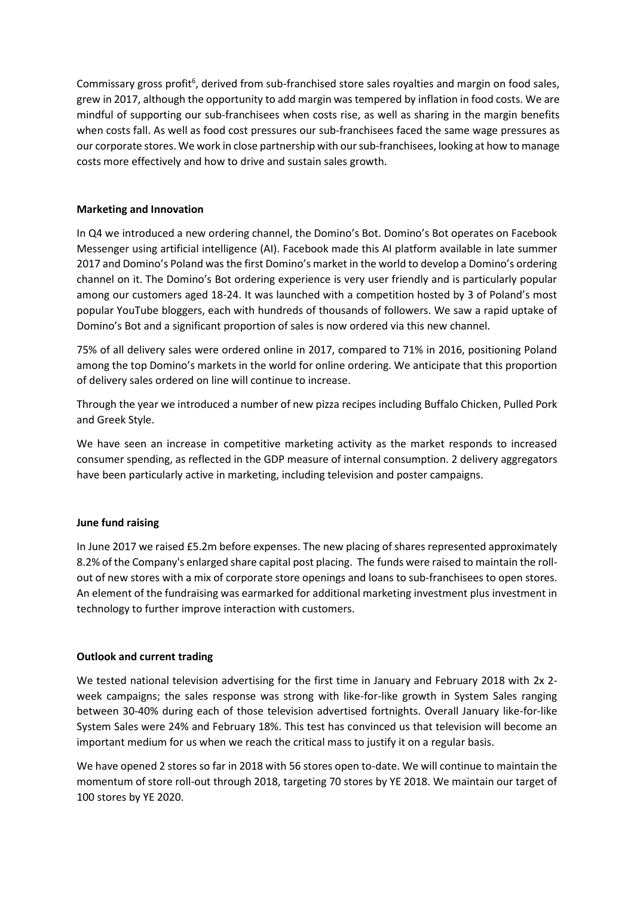Commissary gross profit<sup>6</sup>, derived from sub-franchised store sales royalties and margin on food sales, grew in 2017, although the opportunity to add margin was tempered by inflation in food costs. We are mindful of supporting our sub-franchisees when costs rise, as well as sharing in the margin benefits when costs fall. As well as food cost pressures our sub-franchisees faced the same wage pressures as our corporate stores. We work in close partnership with our sub-franchisees, looking at how to manage costs more effectively and how to drive and sustain sales growth.

### **Marketing and Innovation**

In Q4 we introduced a new ordering channel, the Domino's Bot. Domino's Bot operates on Facebook Messenger using artificial intelligence (AI). Facebook made this AI platform available in late summer 2017 and Domino's Poland was the first Domino's market in the world to develop a Domino's ordering channel on it. The Domino's Bot ordering experience is very user friendly and is particularly popular among our customers aged 18-24. It was launched with a competition hosted by 3 of Poland's most popular YouTube bloggers, each with hundreds of thousands of followers. We saw a rapid uptake of Domino's Bot and a significant proportion of sales is now ordered via this new channel.

75% of all delivery sales were ordered online in 2017, compared to 71% in 2016, positioning Poland among the top Domino's markets in the world for online ordering. We anticipate that this proportion of delivery sales ordered on line will continue to increase.

Through the year we introduced a number of new pizza recipes including Buffalo Chicken, Pulled Pork and Greek Style.

We have seen an increase in competitive marketing activity as the market responds to increased consumer spending, as reflected in the GDP measure of internal consumption. 2 delivery aggregators have been particularly active in marketing, including television and poster campaigns.

## **June fund raising**

In June 2017 we raised £5.2m before expenses. The new placing of shares represented approximately 8.2% of the Company's enlarged share capital post placing. The funds were raised to maintain the rollout of new stores with a mix of corporate store openings and loans to sub-franchisees to open stores. An element of the fundraising was earmarked for additional marketing investment plus investment in technology to further improve interaction with customers.

## **Outlook and current trading**

We tested national television advertising for the first time in January and February 2018 with 2x 2 week campaigns; the sales response was strong with like-for-like growth in System Sales ranging between 30-40% during each of those television advertised fortnights. Overall January like-for-like System Sales were 24% and February 18%. This test has convinced us that television will become an important medium for us when we reach the critical mass to justify it on a regular basis.

We have opened 2 stores so far in 2018 with 56 stores open to-date. We will continue to maintain the momentum of store roll-out through 2018, targeting 70 stores by YE 2018. We maintain our target of 100 stores by YE 2020.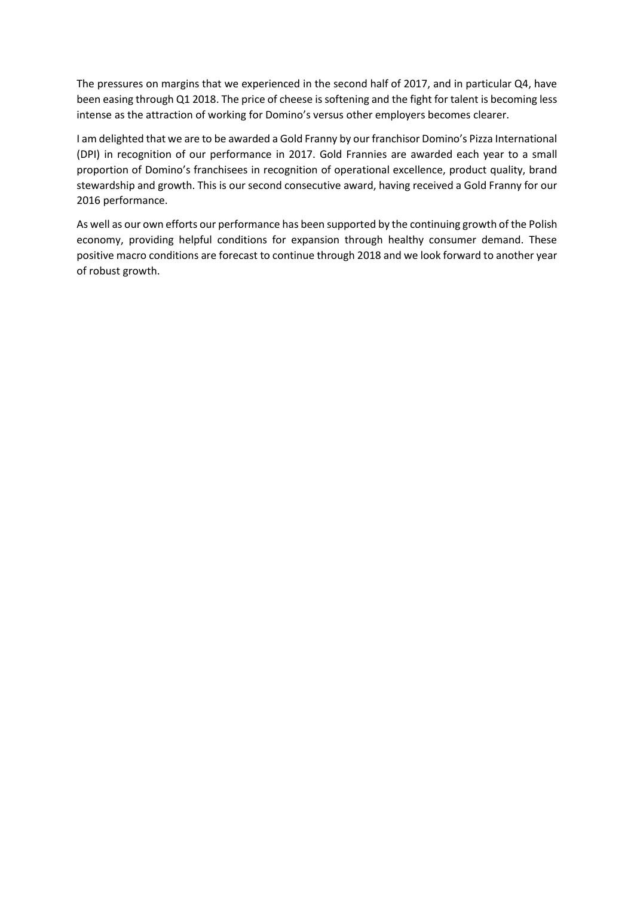The pressures on margins that we experienced in the second half of 2017, and in particular Q4, have been easing through Q1 2018. The price of cheese is softening and the fight for talent is becoming less intense as the attraction of working for Domino's versus other employers becomes clearer.

I am delighted that we are to be awarded a Gold Franny by our franchisor Domino's Pizza International (DPI) in recognition of our performance in 2017. Gold Frannies are awarded each year to a small proportion of Domino's franchisees in recognition of operational excellence, product quality, brand stewardship and growth. This is our second consecutive award, having received a Gold Franny for our 2016 performance.

As well as our own efforts our performance has been supported by the continuing growth of the Polish economy, providing helpful conditions for expansion through healthy consumer demand. These positive macro conditions are forecast to continue through 2018 and we look forward to another year of robust growth.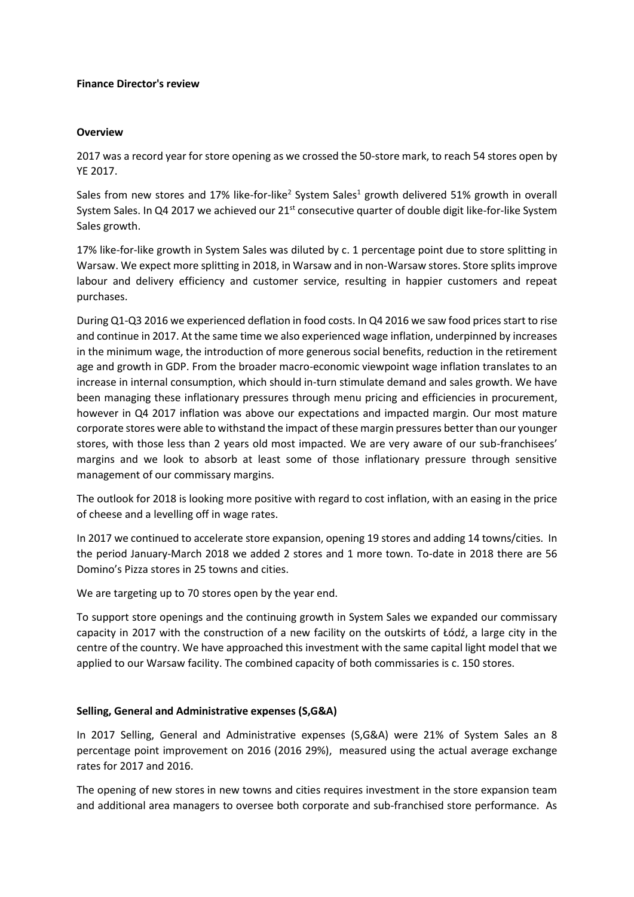#### **Finance Director's review**

#### **Overview**

2017 was a record year for store opening as we crossed the 50-store mark, to reach 54 stores open by YE 2017.

Sales from new stores and 17% like-for-like<sup>2</sup> System Sales<sup>1</sup> growth delivered 51% growth in overall System Sales. In Q4 2017 we achieved our 21<sup>st</sup> consecutive quarter of double digit like-for-like System Sales growth.

17% like-for-like growth in System Sales was diluted by c. 1 percentage point due to store splitting in Warsaw. We expect more splitting in 2018, in Warsaw and in non-Warsaw stores. Store splits improve labour and delivery efficiency and customer service, resulting in happier customers and repeat purchases.

During Q1-Q3 2016 we experienced deflation in food costs. In Q4 2016 we saw food prices start to rise and continue in 2017. At the same time we also experienced wage inflation, underpinned by increases in the minimum wage, the introduction of more generous social benefits, reduction in the retirement age and growth in GDP. From the broader macro-economic viewpoint wage inflation translates to an increase in internal consumption, which should in-turn stimulate demand and sales growth. We have been managing these inflationary pressures through menu pricing and efficiencies in procurement, however in Q4 2017 inflation was above our expectations and impacted margin. Our most mature corporate stores were able to withstand the impact of these margin pressures better than our younger stores, with those less than 2 years old most impacted. We are very aware of our sub-franchisees' margins and we look to absorb at least some of those inflationary pressure through sensitive management of our commissary margins.

The outlook for 2018 is looking more positive with regard to cost inflation, with an easing in the price of cheese and a levelling off in wage rates.

In 2017 we continued to accelerate store expansion, opening 19 stores and adding 14 towns/cities. In the period January-March 2018 we added 2 stores and 1 more town. To-date in 2018 there are 56 Domino's Pizza stores in 25 towns and cities.

We are targeting up to 70 stores open by the year end.

To support store openings and the continuing growth in System Sales we expanded our commissary capacity in 2017 with the construction of a new facility on the outskirts of Łódź, a large city in the centre of the country. We have approached this investment with the same capital light model that we applied to our Warsaw facility. The combined capacity of both commissaries is c. 150 stores.

#### **Selling, General and Administrative expenses (S,G&A)**

In 2017 Selling, General and Administrative expenses (S,G&A) were 21% of System Sales an 8 percentage point improvement on 2016 (2016 29%), measured using the actual average exchange rates for 2017 and 2016.

The opening of new stores in new towns and cities requires investment in the store expansion team and additional area managers to oversee both corporate and sub-franchised store performance. As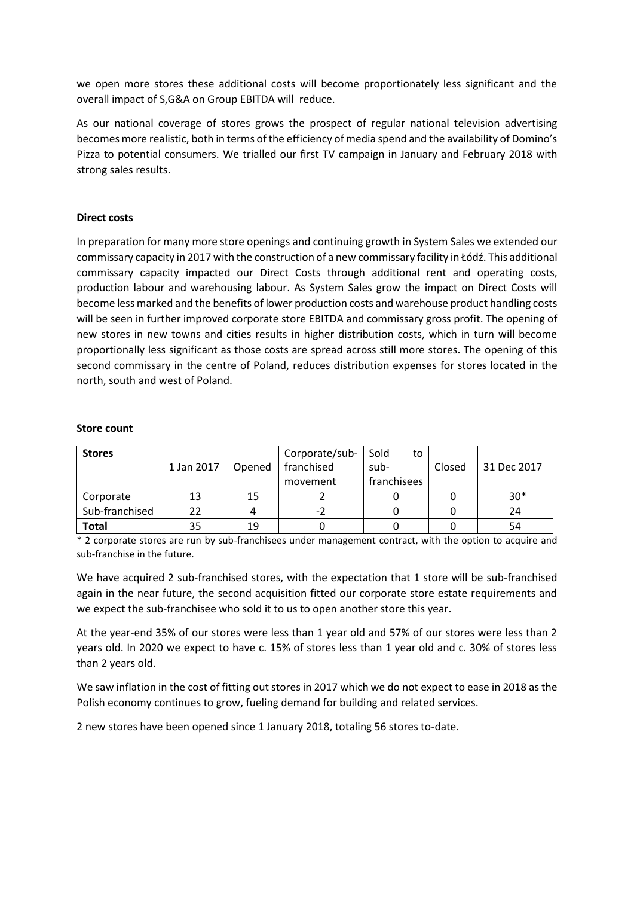we open more stores these additional costs will become proportionately less significant and the overall impact of S,G&A on Group EBITDA will reduce.

As our national coverage of stores grows the prospect of regular national television advertising becomes more realistic, both in terms of the efficiency of media spend and the availability of Domino's Pizza to potential consumers. We trialled our first TV campaign in January and February 2018 with strong sales results.

#### **Direct costs**

In preparation for many more store openings and continuing growth in System Sales we extended our commissary capacity in 2017 with the construction of a new commissary facility in Łódź. This additional commissary capacity impacted our Direct Costs through additional rent and operating costs, production labour and warehousing labour. As System Sales grow the impact on Direct Costs will become less marked and the benefits of lower production costs and warehouse product handling costs will be seen in further improved corporate store EBITDA and commissary gross profit. The opening of new stores in new towns and cities results in higher distribution costs, which in turn will become proportionally less significant as those costs are spread across still more stores. The opening of this second commissary in the centre of Poland, reduces distribution expenses for stores located in the north, south and west of Poland.

| <b>Stores</b>  | 1 Jan 2017 | Opened | Corporate/sub-<br>franchised<br>movement | Sold<br>to<br>sub-<br>franchisees | Closed | 31 Dec 2017 |
|----------------|------------|--------|------------------------------------------|-----------------------------------|--------|-------------|
| Corporate      | 13         | 15     |                                          |                                   |        | $30*$       |
| Sub-franchised | 22         |        | $-2$                                     |                                   |        | 24          |
| <b>Total</b>   | 35         | 19     |                                          |                                   |        | 54          |

#### **Store count**

\* 2 corporate stores are run by sub-franchisees under management contract, with the option to acquire and sub-franchise in the future.

We have acquired 2 sub-franchised stores, with the expectation that 1 store will be sub-franchised again in the near future, the second acquisition fitted our corporate store estate requirements and we expect the sub-franchisee who sold it to us to open another store this year.

At the year-end 35% of our stores were less than 1 year old and 57% of our stores were less than 2 years old. In 2020 we expect to have c. 15% of stores less than 1 year old and c. 30% of stores less than 2 years old.

We saw inflation in the cost of fitting out stores in 2017 which we do not expect to ease in 2018 as the Polish economy continues to grow, fueling demand for building and related services.

2 new stores have been opened since 1 January 2018, totaling 56 stores to-date.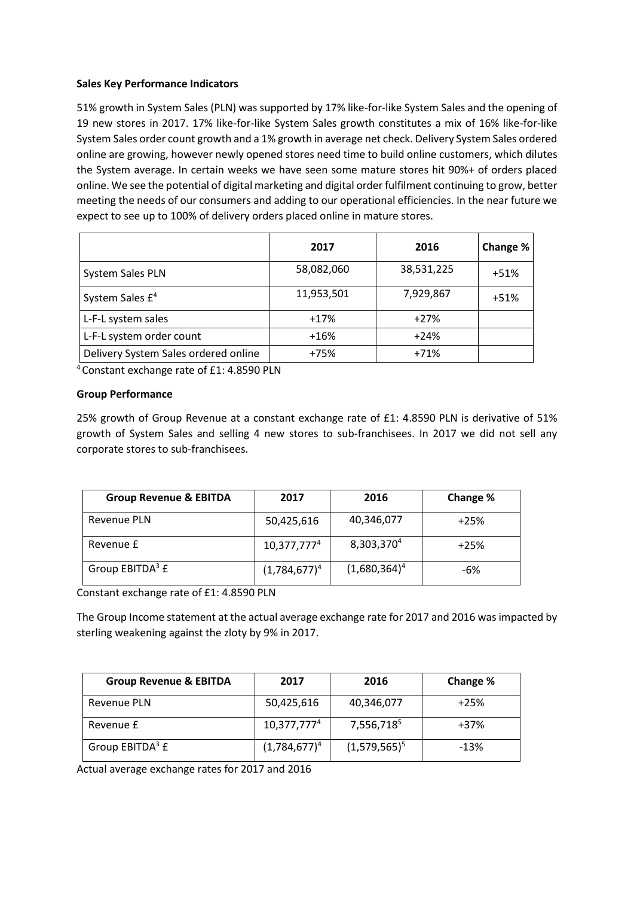#### **Sales Key Performance Indicators**

51% growth in System Sales (PLN) was supported by 17% like-for-like System Sales and the opening of 19 new stores in 2017. 17% like-for-like System Sales growth constitutes a mix of 16% like-for-like System Sales order count growth and a 1% growth in average net check. Delivery System Sales ordered online are growing, however newly opened stores need time to build online customers, which dilutes the System average. In certain weeks we have seen some mature stores hit 90%+ of orders placed online. We see the potential of digital marketing and digital order fulfilment continuing to grow, better meeting the needs of our consumers and adding to our operational efficiencies. In the near future we expect to see up to 100% of delivery orders placed online in mature stores.

|                                      | 2017       | 2016       | Change % |
|--------------------------------------|------------|------------|----------|
| System Sales PLN                     | 58,082,060 | 38,531,225 | $+51%$   |
| System Sales £ <sup>4</sup>          | 11,953,501 | 7,929,867  | $+51%$   |
| L-F-L system sales                   | $+17%$     | $+27%$     |          |
| L-F-L system order count             | $+16%$     | $+24%$     |          |
| Delivery System Sales ordered online | $+75%$     | $+71%$     |          |

<sup>4</sup>Constant exchange rate of £1: 4.8590 PLN

## **Group Performance**

25% growth of Group Revenue at a constant exchange rate of £1: 4.8590 PLN is derivative of 51% growth of System Sales and selling 4 new stores to sub-franchisees. In 2017 we did not sell any corporate stores to sub-franchisees.

| <b>Group Revenue &amp; EBITDA</b> | 2017            | 2016                   | Change % |
|-----------------------------------|-----------------|------------------------|----------|
| Revenue PLN                       | 50,425,616      | 40,346,077             | $+25%$   |
| Revenue £                         | $10,377,777^4$  | 8,303,370 <sup>4</sup> | $+25%$   |
| Group EBITDA <sup>3</sup> £       | $(1,784,677)^4$ | $(1,680,364)^4$        | -6%      |

Constant exchange rate of £1: 4.8590 PLN

The Group Income statement at the actual average exchange rate for 2017 and 2016 was impacted by sterling weakening against the zloty by 9% in 2017.

| <b>Group Revenue &amp; EBITDA</b> | 2017                    | 2016            | Change % |
|-----------------------------------|-------------------------|-----------------|----------|
| Revenue PLN                       | 50,425,616              | 40,346,077      | $+25%$   |
| Revenue £                         | 10,377,777 <sup>4</sup> | 7,556,7185      | $+37%$   |
| Group EBITDA <sup>3</sup> £       | $(1,784,677)^4$         | $(1,579,565)^5$ | $-13%$   |

Actual average exchange rates for 2017 and 2016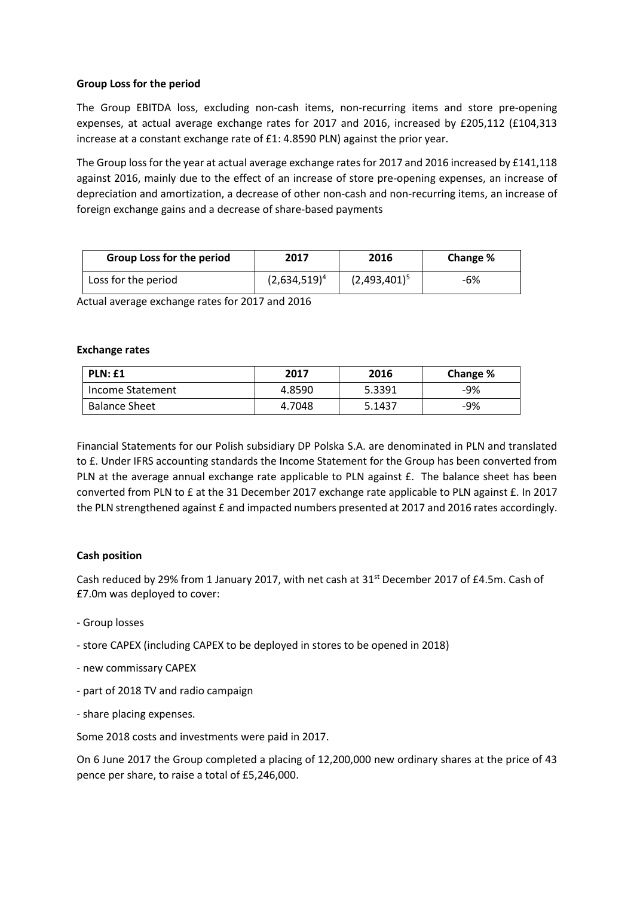#### **Group Loss for the period**

The Group EBITDA loss, excluding non-cash items, non-recurring items and store pre-opening expenses, at actual average exchange rates for 2017 and 2016, increased by £205,112 (£104,313 increase at a constant exchange rate of £1: 4.8590 PLN) against the prior year.

The Group loss for the year at actual average exchange rates for 2017 and 2016 increased by £141,118 against 2016, mainly due to the effect of an increase of store pre-opening expenses, an increase of depreciation and amortization, a decrease of other non-cash and non-recurring items, an increase of foreign exchange gains and a decrease of share-based payments

| <b>Group Loss for the period</b> | 2017            | 2016            | Change % |
|----------------------------------|-----------------|-----------------|----------|
| Loss for the period              | $(2,634,519)^4$ | $(2,493,401)^5$ | -6%      |

Actual average exchange rates for 2017 and 2016

#### **Exchange rates**

| PLN: £1              | 2017   | 2016   | Change % |
|----------------------|--------|--------|----------|
| Income Statement     | 4.8590 | 5.3391 | -9%      |
| <b>Balance Sheet</b> | 4.7048 | 5.1437 | -9%      |

Financial Statements for our Polish subsidiary DP Polska S.A. are denominated in PLN and translated to £. Under IFRS accounting standards the Income Statement for the Group has been converted from PLN at the average annual exchange rate applicable to PLN against £. The balance sheet has been converted from PLN to £ at the 31 December 2017 exchange rate applicable to PLN against £. In 2017 the PLN strengthened against £ and impacted numbers presented at 2017 and 2016 rates accordingly.

#### **Cash position**

Cash reduced by 29% from 1 January 2017, with net cash at  $31<sup>st</sup>$  December 2017 of £4.5m. Cash of £7.0m was deployed to cover:

- Group losses
- store CAPEX (including CAPEX to be deployed in stores to be opened in 2018)
- new commissary CAPEX
- part of 2018 TV and radio campaign
- share placing expenses.

Some 2018 costs and investments were paid in 2017.

On 6 June 2017 the Group completed a placing of 12,200,000 new ordinary shares at the price of 43 pence per share, to raise a total of £5,246,000.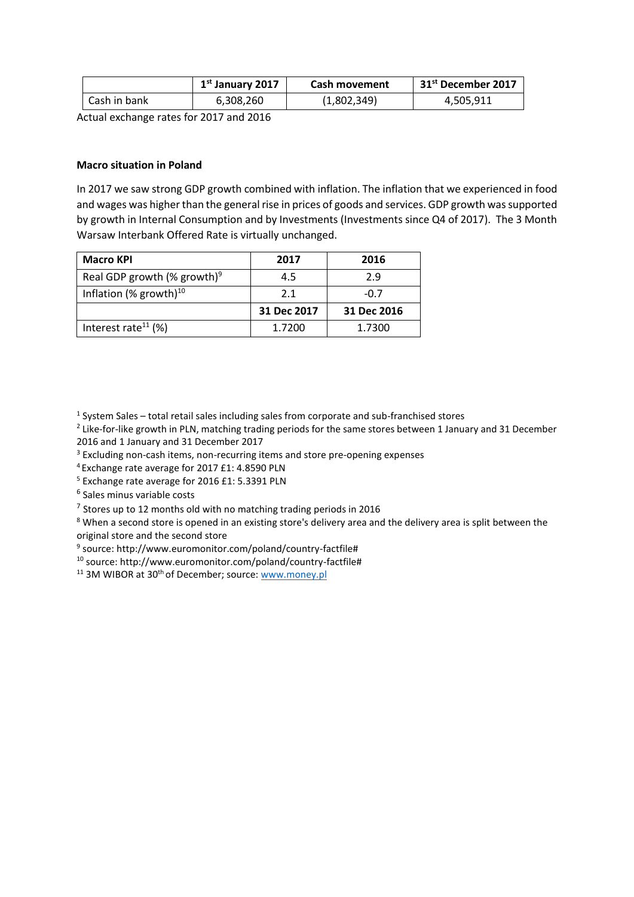|              | $1st$ January 2017 | <b>Cash movement</b> | 31 <sup>st</sup> December 2017 |
|--------------|--------------------|----------------------|--------------------------------|
| Cash in bank | 6,308,260          | (1,802,349)          | 4,505,911                      |

Actual exchange rates for 2017 and 2016

#### **Macro situation in Poland**

In 2017 we saw strong GDP growth combined with inflation. The inflation that we experienced in food and wages was higher than the general rise in prices of goods and services. GDP growth was supported by growth in Internal Consumption and by Investments (Investments since Q4 of 2017). The 3 Month Warsaw Interbank Offered Rate is virtually unchanged.

| <b>Macro KPI</b>                        | 2017        | 2016        |
|-----------------------------------------|-------------|-------------|
| Real GDP growth (% growth) <sup>9</sup> | 4.5         | 2.9         |
| Inflation (% growth) $10$               | 2.1         | $-0.7$      |
|                                         | 31 Dec 2017 | 31 Dec 2016 |
| Interest rate <sup>11</sup> (%)         | 1.7200      | 1.7300      |

<sup>1</sup> System Sales – total retail sales including sales from corporate and sub-franchised stores

<sup>2</sup> Like-for-like growth in PLN, matching trading periods for the same stores between 1 January and 31 December 2016 and 1 January and 31 December 2017

<sup>3</sup> Excluding non-cash items, non-recurring items and store pre-opening expenses

<sup>4</sup>Exchange rate average for 2017 £1: 4.8590 PLN

<sup>5</sup> Exchange rate average for 2016 £1: 5.3391 PLN

6 Sales minus variable costs

 $<sup>7</sup>$  Stores up to 12 months old with no matching trading periods in 2016</sup>

<sup>8</sup> When a second store is opened in an existing store's delivery area and the delivery area is split between the original store and the second store

9 source: http://www.euromonitor.com/poland/country-factfile#

10 source: http://www.euromonitor.com/poland/country-factfile#

<sup>11</sup> 3M WIBOR at 30<sup>th</sup> of December; source: [www.money.pl](http://www.money.pl/)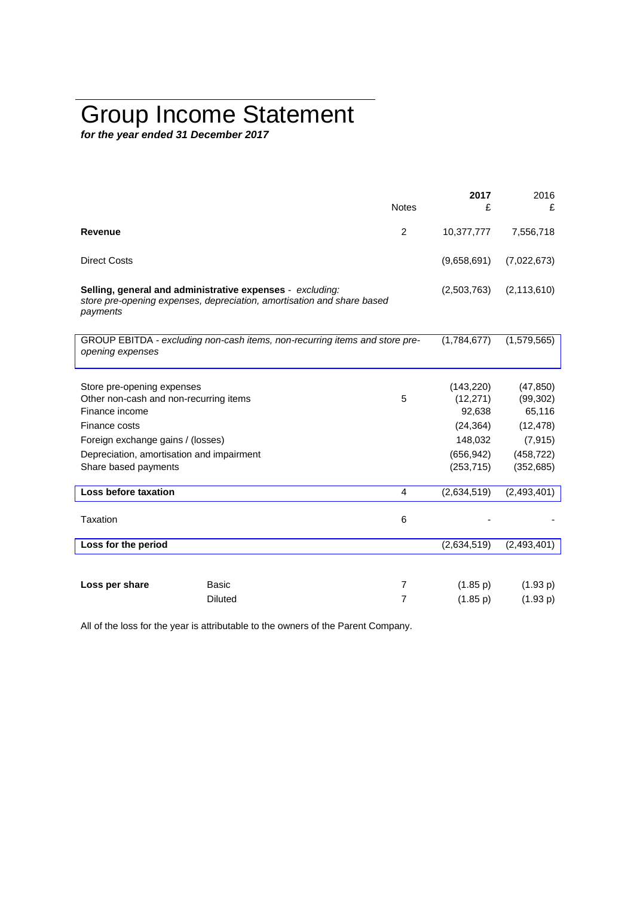# Group Income Statement

*for the year ended 31 December 2017*

|                                           |                                                                                                                                     | <b>Notes</b>   | 2017<br>£   | 2016<br>£     |
|-------------------------------------------|-------------------------------------------------------------------------------------------------------------------------------------|----------------|-------------|---------------|
|                                           |                                                                                                                                     |                |             |               |
| <b>Revenue</b>                            |                                                                                                                                     | 2              | 10,377,777  | 7,556,718     |
| <b>Direct Costs</b>                       |                                                                                                                                     |                | (9,658,691) | (7,022,673)   |
| payments                                  | Selling, general and administrative expenses - excluding:<br>store pre-opening expenses, depreciation, amortisation and share based |                | (2,503,763) | (2, 113, 610) |
| opening expenses                          | GROUP EBITDA - excluding non-cash items, non-recurring items and store pre-                                                         |                | (1,784,677) | (1,579,565)   |
|                                           |                                                                                                                                     |                |             |               |
| Store pre-opening expenses                |                                                                                                                                     |                | (143, 220)  | (47, 850)     |
| Other non-cash and non-recurring items    |                                                                                                                                     | 5              | (12, 271)   | (99, 302)     |
| Finance income                            |                                                                                                                                     |                | 92,638      | 65,116        |
| Finance costs                             |                                                                                                                                     |                | (24, 364)   | (12, 478)     |
| Foreign exchange gains / (losses)         |                                                                                                                                     |                | 148,032     | (7, 915)      |
| Depreciation, amortisation and impairment |                                                                                                                                     |                | (656, 942)  | (458, 722)    |
| Share based payments                      |                                                                                                                                     |                | (253, 715)  | (352, 685)    |
| Loss before taxation                      |                                                                                                                                     | 4              | (2,634,519) | (2,493,401)   |
| Taxation                                  |                                                                                                                                     | 6              |             |               |
| Loss for the period                       |                                                                                                                                     |                | (2,634,519) | (2, 493, 401) |
|                                           |                                                                                                                                     |                |             |               |
|                                           |                                                                                                                                     |                |             |               |
| Loss per share                            | Basic                                                                                                                               | $\overline{7}$ | (1.85 p)    | (1.93 p)      |
|                                           | <b>Diluted</b>                                                                                                                      | $\overline{7}$ | (1.85 p)    | (1.93 p)      |

All of the loss for the year is attributable to the owners of the Parent Company.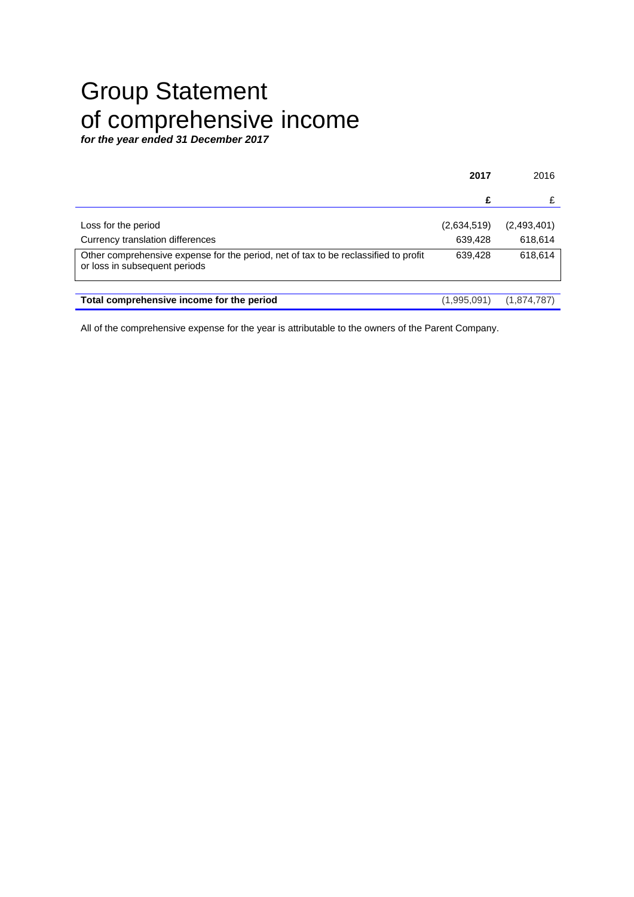# Group Statement of comprehensive income

*for the year ended 31 December 2017*

|                                                                                                                                                          | 2017               | 2016               |
|----------------------------------------------------------------------------------------------------------------------------------------------------------|--------------------|--------------------|
|                                                                                                                                                          | £                  |                    |
| Loss for the period                                                                                                                                      | (2,634,519)        | (2,493,401)        |
| Currency translation differences<br>Other comprehensive expense for the period, net of tax to be reclassified to profit<br>or loss in subsequent periods | 639,428<br>639.428 | 618,614<br>618,614 |
|                                                                                                                                                          |                    |                    |
| Total comprehensive income for the period                                                                                                                | (1,995,091)        | (1,874,787)        |

All of the comprehensive expense for the year is attributable to the owners of the Parent Company.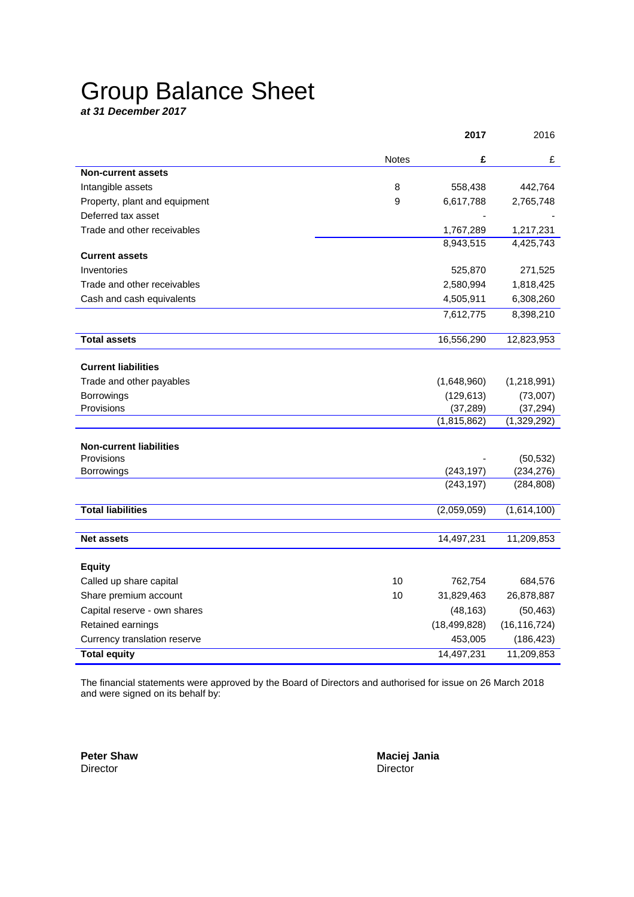# Group Balance Sheet

*at 31 December 2017*

|                                |              | 2017           | 2016           |
|--------------------------------|--------------|----------------|----------------|
|                                | <b>Notes</b> | £              | £              |
| <b>Non-current assets</b>      |              |                |                |
| Intangible assets              | 8            | 558,438        | 442,764        |
| Property, plant and equipment  | 9            | 6,617,788      | 2,765,748      |
| Deferred tax asset             |              |                |                |
| Trade and other receivables    |              | 1,767,289      | 1,217,231      |
|                                |              | 8,943,515      | 4,425,743      |
| <b>Current assets</b>          |              |                |                |
| Inventories                    |              | 525,870        | 271,525        |
| Trade and other receivables    |              | 2,580,994      | 1,818,425      |
| Cash and cash equivalents      |              | 4,505,911      | 6,308,260      |
|                                |              | 7,612,775      | 8,398,210      |
| <b>Total assets</b>            |              | 16,556,290     | 12,823,953     |
|                                |              |                |                |
| <b>Current liabilities</b>     |              |                |                |
| Trade and other payables       |              | (1,648,960)    | (1,218,991)    |
| Borrowings                     |              | (129, 613)     | (73,007)       |
| Provisions                     |              | (37, 289)      | (37, 294)      |
|                                |              | (1,815,862)    | (1,329,292)    |
| <b>Non-current liabilities</b> |              |                |                |
| Provisions                     |              |                | (50, 532)      |
| Borrowings                     |              | (243, 197)     | (234, 276)     |
|                                |              | (243, 197)     | (284, 808)     |
| <b>Total liabilities</b>       |              | (2,059,059)    | (1,614,100)    |
|                                |              |                |                |
| <b>Net assets</b>              |              | 14,497,231     | 11,209,853     |
| <b>Equity</b>                  |              |                |                |
| Called up share capital        | 10           | 762,754        | 684,576        |
| Share premium account          | 10           | 31,829,463     | 26,878,887     |
| Capital reserve - own shares   |              | (48, 163)      | (50, 463)      |
| Retained earnings              |              | (18, 499, 828) | (16, 116, 724) |
| Currency translation reserve   |              | 453,005        | (186, 423)     |
| <b>Total equity</b>            |              | 14,497,231     | 11,209,853     |

The financial statements were approved by the Board of Directors and authorised for issue on 26 March 2018 and were signed on its behalf by:

Director Director **Director** 

**Peter Shaw Maciej Jania**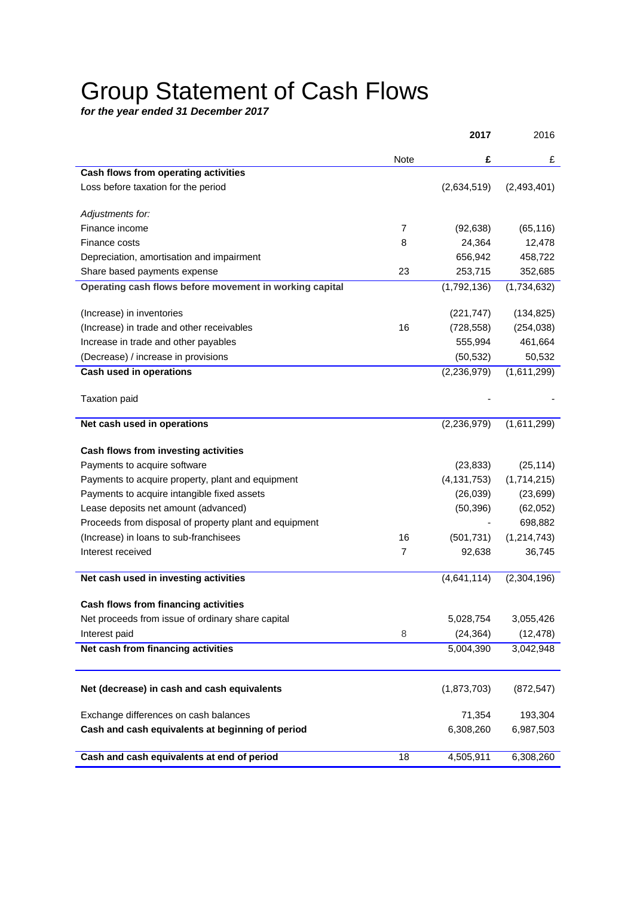# Group Statement of Cash Flows

*for the year ended 31 December 2017*

|                                                         |                | 2017          | 2016          |
|---------------------------------------------------------|----------------|---------------|---------------|
|                                                         | Note           | £             | £             |
| Cash flows from operating activities                    |                |               |               |
| Loss before taxation for the period                     |                | (2,634,519)   | (2,493,401)   |
| Adjustments for:                                        |                |               |               |
| Finance income                                          | 7              | (92, 638)     | (65, 116)     |
| Finance costs                                           | 8              | 24,364        | 12,478        |
| Depreciation, amortisation and impairment               |                | 656,942       | 458,722       |
| Share based payments expense                            | 23             | 253,715       | 352,685       |
| Operating cash flows before movement in working capital |                | (1,792,136)   | (1,734,632)   |
| (Increase) in inventories                               |                | (221, 747)    | (134, 825)    |
| (Increase) in trade and other receivables               | 16             | (728, 558)    | (254, 038)    |
| Increase in trade and other payables                    |                | 555,994       | 461,664       |
| (Decrease) / increase in provisions                     |                | (50, 532)     | 50,532        |
| Cash used in operations                                 |                | (2, 236, 979) | (1,611,299)   |
| <b>Taxation paid</b>                                    |                |               |               |
| Net cash used in operations                             |                | (2, 236, 979) | (1,611,299)   |
| Cash flows from investing activities                    |                |               |               |
| Payments to acquire software                            |                | (23, 833)     | (25, 114)     |
| Payments to acquire property, plant and equipment       |                | (4, 131, 753) | (1,714,215)   |
| Payments to acquire intangible fixed assets             |                | (26, 039)     | (23, 699)     |
| Lease deposits net amount (advanced)                    |                | (50, 396)     | (62,052)      |
| Proceeds from disposal of property plant and equipment  |                |               | 698,882       |
| (Increase) in loans to sub-franchisees                  | 16             | (501, 731)    | (1, 214, 743) |
| Interest received                                       | $\overline{7}$ | 92,638        | 36,745        |
| Net cash used in investing activities                   |                | (4,641,114)   | (2,304,196)   |
| Cash flows from financing activities                    |                |               |               |
| Net proceeds from issue of ordinary share capital       |                | 5,028,754     | 3,055,426     |
| Interest paid                                           | 8              | (24, 364)     | (12, 478)     |
| Net cash from financing activities                      |                | 5,004,390     | 3,042,948     |
|                                                         |                |               |               |
| Net (decrease) in cash and cash equivalents             |                | (1,873,703)   | (872, 547)    |
| Exchange differences on cash balances                   |                | 71,354        | 193,304       |
| Cash and cash equivalents at beginning of period        |                | 6,308,260     | 6,987,503     |
| Cash and cash equivalents at end of period              | 18             | 4,505,911     | 6,308,260     |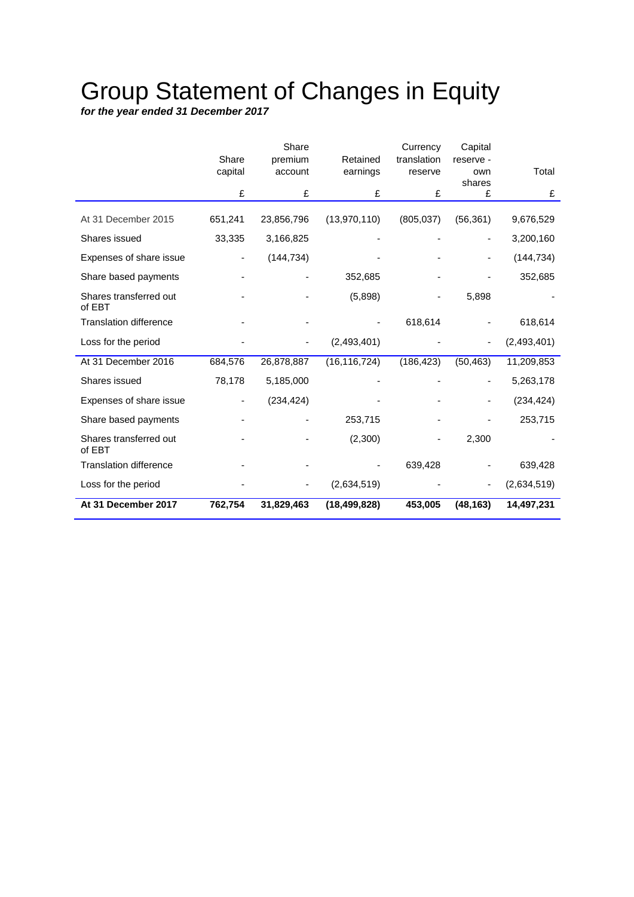# Group Statement of Changes in Equity

*for the year ended 31 December 2017*

|                                  |         | Share      |                | Currency    | Capital     |               |
|----------------------------------|---------|------------|----------------|-------------|-------------|---------------|
|                                  | Share   | premium    | Retained       | translation | reserve -   |               |
|                                  | capital | account    | earnings       | reserve     | own         | Total         |
|                                  | £       | £          | £              | £           | shares<br>£ | £             |
|                                  |         |            |                |             |             |               |
| At 31 December 2015              | 651,241 | 23,856,796 | (13,970,110)   | (805, 037)  | (56, 361)   | 9,676,529     |
| Shares issued                    | 33,335  | 3,166,825  |                |             |             | 3,200,160     |
| Expenses of share issue          |         | (144, 734) |                |             |             | (144, 734)    |
| Share based payments             |         |            | 352,685        |             |             | 352,685       |
| Shares transferred out<br>of EBT |         |            | (5,898)        |             | 5,898       |               |
| <b>Translation difference</b>    |         |            |                | 618,614     |             | 618,614       |
| Loss for the period              |         |            | (2,493,401)    |             |             | (2, 493, 401) |
| At 31 December 2016              | 684,576 | 26,878,887 | (16, 116, 724) | (186, 423)  | (50, 463)   | 11,209,853    |
| Shares issued                    | 78,178  | 5,185,000  |                |             |             | 5,263,178     |
| Expenses of share issue          |         | (234, 424) |                |             |             | (234, 424)    |
| Share based payments             |         |            | 253,715        |             |             | 253,715       |
| Shares transferred out<br>of EBT |         |            | (2,300)        |             | 2,300       |               |
| <b>Translation difference</b>    |         |            |                | 639,428     |             | 639,428       |
| Loss for the period              |         |            | (2,634,519)    |             |             | (2,634,519)   |
| At 31 December 2017              | 762,754 | 31,829,463 | (18, 499, 828) | 453,005     | (48, 163)   | 14,497,231    |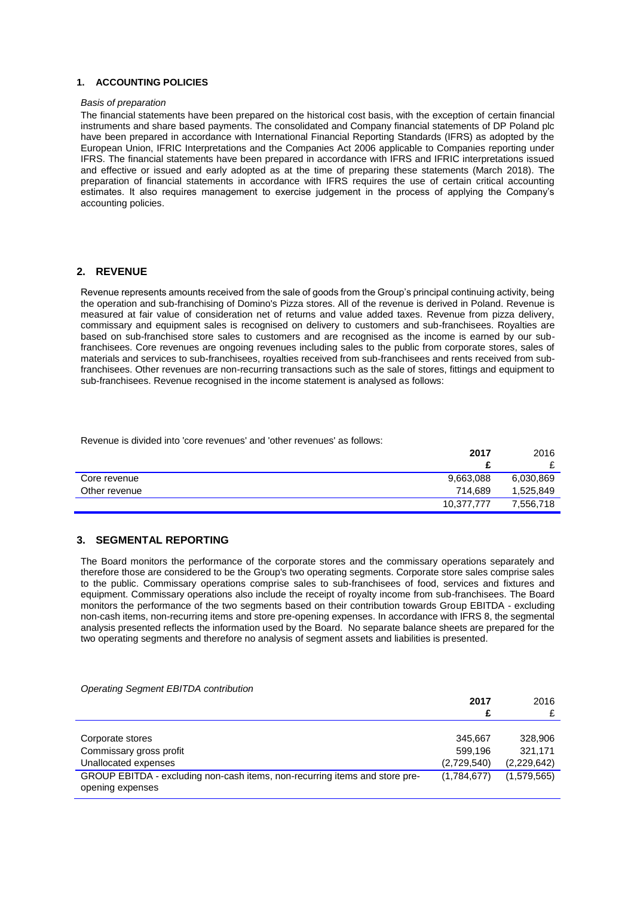#### **1. ACCOUNTING POLICIES**

#### *Basis of preparation*

The financial statements have been prepared on the historical cost basis, with the exception of certain financial instruments and share based payments. The consolidated and Company financial statements of DP Poland plc have been prepared in accordance with International Financial Reporting Standards (IFRS) as adopted by the European Union, IFRIC Interpretations and the Companies Act 2006 applicable to Companies reporting under IFRS. The financial statements have been prepared in accordance with IFRS and IFRIC interpretations issued and effective or issued and early adopted as at the time of preparing these statements (March 2018). The preparation of financial statements in accordance with IFRS requires the use of certain critical accounting estimates. It also requires management to exercise judgement in the process of applying the Company's accounting policies.

#### **2. REVENUE**

Revenue represents amounts received from the sale of goods from the Group's principal continuing activity, being the operation and sub-franchising of Domino's Pizza stores. All of the revenue is derived in Poland. Revenue is measured at fair value of consideration net of returns and value added taxes. Revenue from pizza delivery, commissary and equipment sales is recognised on delivery to customers and sub-franchisees. Royalties are based on sub-franchised store sales to customers and are recognised as the income is earned by our subfranchisees. Core revenues are ongoing revenues including sales to the public from corporate stores, sales of materials and services to sub-franchisees, royalties received from sub-franchisees and rents received from subfranchisees. Other revenues are non-recurring transactions such as the sale of stores, fittings and equipment to sub-franchisees. Revenue recognised in the income statement is analysed as follows:

Revenue is divided into 'core revenues' and 'other revenues' as follows:

|               | 2017       | 2016      |
|---------------|------------|-----------|
|               |            |           |
| Core revenue  | 9,663,088  | 6,030,869 |
| Other revenue | 714,689    | 1,525,849 |
|               | 10.377.777 | 7.556.718 |

#### **3. SEGMENTAL REPORTING**

The Board monitors the performance of the corporate stores and the commissary operations separately and therefore those are considered to be the Group's two operating segments. Corporate store sales comprise sales to the public. Commissary operations comprise sales to sub-franchisees of food, services and fixtures and equipment. Commissary operations also include the receipt of royalty income from sub-franchisees. The Board monitors the performance of the two segments based on their contribution towards Group EBITDA - excluding non-cash items, non-recurring items and store pre-opening expenses. In accordance with IFRS 8, the segmental analysis presented reflects the information used by the Board. No separate balance sheets are prepared for the two operating segments and therefore no analysis of segment assets and liabilities is presented.

|                                                                                                 | 2017<br>£                         | 2016<br>£                         |
|-------------------------------------------------------------------------------------------------|-----------------------------------|-----------------------------------|
| Corporate stores<br>Commissary gross profit<br>Unallocated expenses                             | 345.667<br>599.196<br>(2,729,540) | 328,906<br>321.171<br>(2,229,642) |
| GROUP EBITDA - excluding non-cash items, non-recurring items and store pre-<br>opening expenses | (1,784,677)                       | (1,579,565)                       |

#### *Operating Segment EBITDA contribution*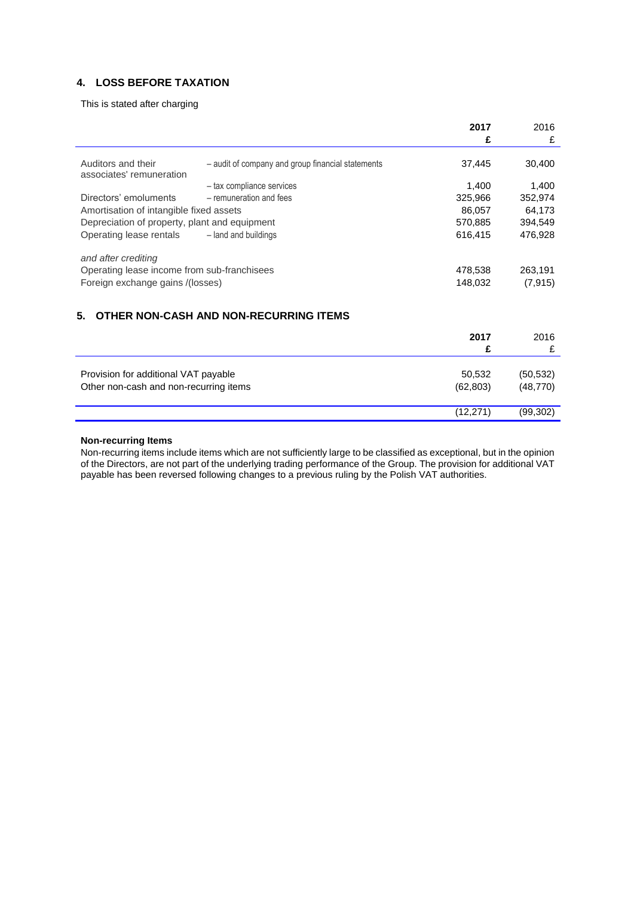## **4. LOSS BEFORE TAXATION**

This is stated after charging

|                                                |                                                   | 2017      | 2016      |
|------------------------------------------------|---------------------------------------------------|-----------|-----------|
|                                                |                                                   | £         | £         |
| Auditors and their<br>associates' remuneration | - audit of company and group financial statements | 37,445    | 30,400    |
|                                                | - tax compliance services                         | 1,400     | 1,400     |
| Directors' emoluments                          | - remuneration and fees                           | 325,966   | 352,974   |
| Amortisation of intangible fixed assets        |                                                   | 86,057    | 64,173    |
| Depreciation of property, plant and equipment  |                                                   | 570,885   | 394,549   |
| Operating lease rentals                        | - land and buildings                              | 616,415   | 476,928   |
| and after crediting                            |                                                   |           |           |
| Operating lease income from sub-franchisees    |                                                   | 478,538   | 263,191   |
| Foreign exchange gains /(losses)               |                                                   | 148,032   | (7, 915)  |
|                                                |                                                   |           |           |
| 5.                                             | OTHER NON-CASH AND NON-RECURRING ITEMS            |           |           |
|                                                |                                                   | 2017      | 2016      |
|                                                |                                                   | £         | £         |
|                                                |                                                   |           |           |
| Provision for additional VAT payable           |                                                   | 50,532    | (50, 532) |
| Other non-cash and non-recurring items         |                                                   | (62, 803) | (48, 770) |
|                                                |                                                   |           |           |

#### **Non-recurring Items**

Non-recurring items include items which are not sufficiently large to be classified as exceptional, but in the opinion of the Directors, are not part of the underlying trading performance of the Group. The provision for additional VAT payable has been reversed following changes to a previous ruling by the Polish VAT authorities.

(12,271) (99,302)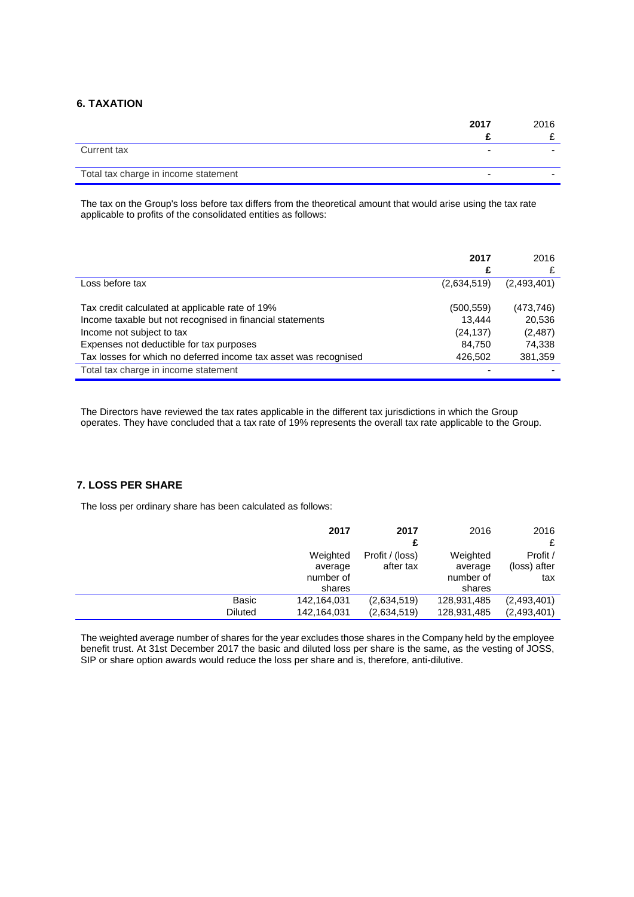## **6. TAXATION**

|                                      | 2017 | 2016 |
|--------------------------------------|------|------|
|                                      |      |      |
| Current tax                          | ۰    |      |
| Total tax charge in income statement | -    |      |

The tax on the Group's loss before tax differs from the theoretical amount that would arise using the tax rate applicable to profits of the consolidated entities as follows:

|                                                                  | 2017<br>£   | 2016        |
|------------------------------------------------------------------|-------------|-------------|
| Loss before tax                                                  | (2,634,519) | (2,493,401) |
| Tax credit calculated at applicable rate of 19%                  | (500, 559)  | (473, 746)  |
| Income taxable but not recognised in financial statements        | 13.444      | 20,536      |
| Income not subject to tax                                        | (24, 137)   | (2,487)     |
| Expenses not deductible for tax purposes                         | 84,750      | 74,338      |
| Tax losses for which no deferred income tax asset was recognised | 426.502     | 381,359     |
| Total tax charge in income statement                             |             |             |

The Directors have reviewed the tax rates applicable in the different tax jurisdictions in which the Group operates. They have concluded that a tax rate of 19% represents the overall tax rate applicable to the Group.

#### **7. LOSS PER SHARE**

The loss per ordinary share has been calculated as follows:

|                | 2017        | 2017            | 2016        | 2016         |
|----------------|-------------|-----------------|-------------|--------------|
|                |             | £               |             | £            |
|                | Weighted    | Profit / (loss) | Weighted    | Profit /     |
|                | average     | after tax       | average     | (loss) after |
|                | number of   |                 | number of   | tax          |
|                | shares      |                 | shares      |              |
| <b>Basic</b>   | 142,164,031 | (2,634,519)     | 128,931,485 | (2,493,401)  |
| <b>Diluted</b> | 142,164,031 | (2,634,519)     | 128,931,485 | (2,493,401)  |

The weighted average number of shares for the year excludes those shares in the Company held by the employee benefit trust. At 31st December 2017 the basic and diluted loss per share is the same, as the vesting of JOSS, SIP or share option awards would reduce the loss per share and is, therefore, anti-dilutive.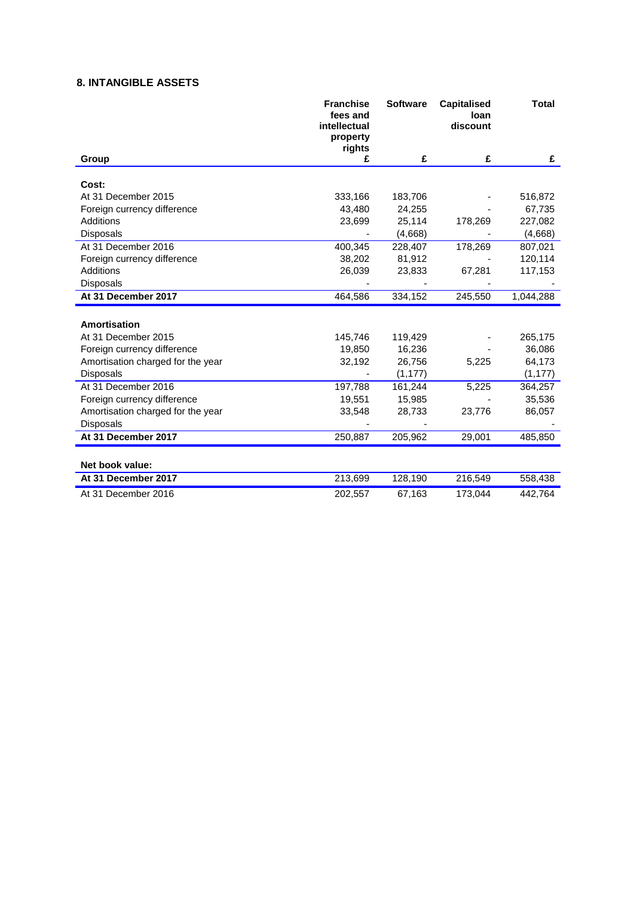## **8. INTANGIBLE ASSETS**

|                                   | <b>Franchise</b><br>fees and<br>intellectual<br>property<br>rights | <b>Software</b> | <b>Capitalised</b><br>loan<br>discount | <b>Total</b> |
|-----------------------------------|--------------------------------------------------------------------|-----------------|----------------------------------------|--------------|
| Group                             | £                                                                  | £               | £                                      | £            |
| Cost:                             |                                                                    |                 |                                        |              |
| At 31 December 2015               | 333,166                                                            | 183,706         |                                        | 516,872      |
| Foreign currency difference       | 43,480                                                             | 24,255          |                                        | 67,735       |
| Additions                         | 23,699                                                             | 25,114          | 178,269                                | 227,082      |
| Disposals                         |                                                                    | (4,668)         |                                        | (4,668)      |
| At 31 December 2016               | 400,345                                                            | 228,407         | 178,269                                | 807,021      |
| Foreign currency difference       | 38,202                                                             | 81,912          |                                        | 120,114      |
| <b>Additions</b>                  | 26,039                                                             | 23,833          | 67,281                                 | 117,153      |
| Disposals                         |                                                                    |                 |                                        |              |
| At 31 December 2017               | 464,586                                                            | 334,152         | 245,550                                | 1,044,288    |
|                                   |                                                                    |                 |                                        |              |
| Amortisation                      |                                                                    |                 |                                        |              |
| At 31 December 2015               | 145,746                                                            | 119,429         |                                        | 265,175      |
| Foreign currency difference       | 19,850                                                             | 16,236          |                                        | 36,086       |
| Amortisation charged for the year | 32,192                                                             | 26,756          | 5,225                                  | 64,173       |
| Disposals                         |                                                                    | (1, 177)        |                                        | (1, 177)     |
| At 31 December 2016               | 197,788                                                            | 161,244         | 5,225                                  | 364,257      |
| Foreign currency difference       | 19,551                                                             | 15,985          |                                        | 35,536       |
| Amortisation charged for the year | 33,548                                                             | 28,733          | 23,776                                 | 86,057       |
| Disposals                         |                                                                    |                 |                                        |              |
| At 31 December 2017               | 250,887                                                            | 205,962         | 29,001                                 | 485,850      |
| Net book value:                   |                                                                    |                 |                                        |              |
| At 31 December 2017               | 213,699                                                            | 128,190         | 216,549                                | 558,438      |
| At 31 December 2016               | 202,557                                                            | 67,163          | 173,044                                | 442,764      |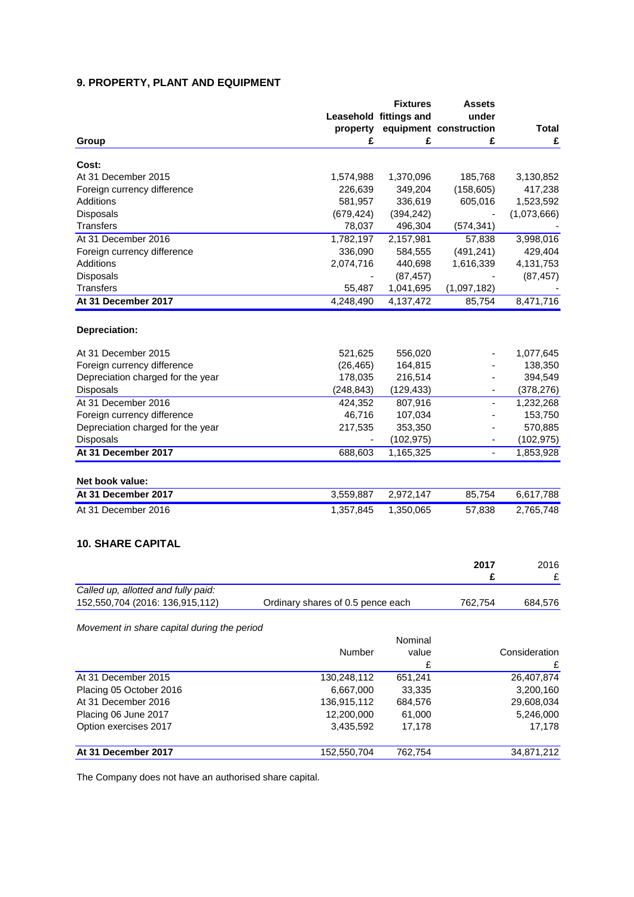## **9. PROPERTY, PLANT AND EQUIPMENT**

|                                             |                                   | <b>Fixtures</b>        | <b>Assets</b>                |               |
|---------------------------------------------|-----------------------------------|------------------------|------------------------------|---------------|
|                                             |                                   | Leasehold fittings and | under                        |               |
|                                             | property                          |                        | equipment construction       | <b>Total</b>  |
| Group                                       | £                                 | £                      | £                            | £             |
|                                             |                                   |                        |                              |               |
| Cost:                                       |                                   |                        |                              |               |
| At 31 December 2015                         | 1,574,988                         | 1,370,096              | 185,768                      | 3,130,852     |
| Foreign currency difference                 | 226,639                           | 349,204                | (158, 605)                   | 417,238       |
| Additions                                   | 581,957                           | 336,619                | 605,016                      | 1,523,592     |
| Disposals                                   | (679, 424)                        | (394, 242)             |                              | (1,073,666)   |
| <b>Transfers</b>                            | 78,037                            | 496,304                | (574, 341)                   |               |
| At 31 December 2016                         | 1,782,197                         | 2,157,981              | 57,838                       | 3,998,016     |
| Foreign currency difference                 | 336,090                           | 584,555                | (491, 241)                   | 429,404       |
| <b>Additions</b>                            | 2,074,716                         | 440,698                | 1,616,339                    | 4,131,753     |
| Disposals                                   |                                   | (87, 457)              |                              | (87, 457)     |
| <b>Transfers</b>                            | 55,487                            | 1,041,695              | (1,097,182)                  |               |
| At 31 December 2017                         | 4,248,490                         | 4,137,472              | 85,754                       | 8,471,716     |
| Depreciation:                               |                                   |                        |                              |               |
|                                             |                                   |                        |                              |               |
| At 31 December 2015                         | 521,625                           | 556,020                |                              | 1,077,645     |
| Foreign currency difference                 | (26, 465)                         | 164,815                |                              | 138,350       |
| Depreciation charged for the year           | 178,035                           | 216,514                |                              | 394,549       |
| Disposals                                   | (248, 843)                        | (129, 433)             |                              | (378, 276)    |
| At 31 December 2016                         | 424,352                           | 807,916                | $\qquad \qquad \blacksquare$ | 1,232,268     |
| Foreign currency difference                 | 46,716                            | 107,034                |                              | 153,750       |
| Depreciation charged for the year           | 217,535                           | 353,350                |                              | 570,885       |
| Disposals                                   |                                   | (102, 975)             |                              | (102, 975)    |
| At 31 December 2017                         | 688,603                           | 1,165,325              |                              | 1,853,928     |
| Net book value:                             |                                   |                        |                              |               |
| At 31 December 2017                         | 3,559,887                         | 2,972,147              | 85,754                       | 6,617,788     |
| At 31 December 2016                         | 1,357,845                         | 1,350,065              | 57,838                       | 2,765,748     |
|                                             |                                   |                        |                              |               |
| <b>10. SHARE CAPITAL</b>                    |                                   |                        |                              |               |
|                                             |                                   |                        | 2017                         | 2016          |
|                                             |                                   |                        | £                            | £             |
| Called up, allotted and fully paid:         |                                   |                        |                              |               |
| 152,550,704 (2016: 136,915,112)             | Ordinary shares of 0.5 pence each |                        | 762,754                      | 684,576       |
| Movement in share capital during the period |                                   |                        |                              |               |
|                                             |                                   | Nominal                |                              |               |
|                                             | Number                            | value                  |                              | Consideration |
|                                             |                                   |                        |                              |               |
|                                             |                                   | £                      |                              |               |
| At 31 December 2015                         | 130,248,112                       | 651,241                |                              | 26,407,874    |
| Placing 05 October 2016                     | 6,667,000                         | 33,335                 |                              | 3,200,160     |
| At 31 December 2016                         | 136,915,112                       | 684,576                |                              | 29,608,034    |
| Placing 06 June 2017                        | 12,200,000                        | 61,000                 |                              | 5,246,000     |
| Option exercises 2017                       | 3,435,592                         | 17,178                 |                              | 17,178        |
| At 31 December 2017                         | 152,550,704                       | 762,754                |                              | 34,871,212    |
|                                             |                                   |                        |                              |               |

The Company does not have an authorised share capital.